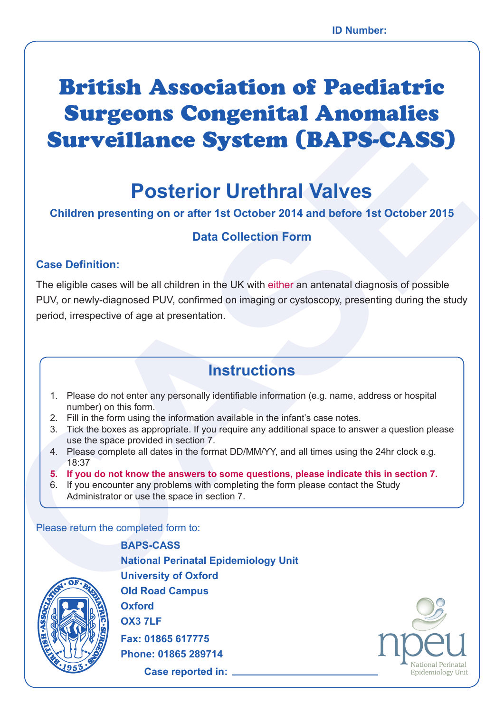# British Association of Paediatric Surgeons Congenital Anomalies Surveillance System (BAPS-CASS)

# **Posterior Urethral Valves**

### **Children presenting on or after 1st October 2014 and before 1st October 2015**

## **Data Collection Form**

#### **Case Definition:**

**CALTY CONTRACT CONTRACT CONTRACT CONTRACT CONTRACT CONTRACT CONTRACT CONTRACT CONTRACT CONTRACT CONTRACT CONTRACT CONTRACT CONTRACT CONTRACT CONTRACT CONTRACT CONTRACT CONTRACT CONTRACT CONTRACT CONTRACT CONTRACT CONTRACT** The eligible cases will be all children in the UK with either an antenatal diagnosis of possible PUV, or newly-diagnosed PUV, confirmed on imaging or cystoscopy, presenting during the study period, irrespective of age at presentation.

# **Instructions**

- 1. Please do not enter any personally identifiable information (e.g. name, address or hospital number) on this form.
- 2. Fill in the form using the information available in the infant's case notes.
- 3. Tick the boxes as appropriate. If you require any additional space to answer a question please use the space provided in section 7.
- 4. Please complete all dates in the format DD/MM/YY, and all times using the 24hr clock e.g. 18:37
- **5. If you do not know the answers to some questions, please indicate this in section 7.**
- 6. If you encounter any problems with completing the form please contact the Study Administrator or use the space in section 7.

Please return the completed form to:



**BAPS-CASS National Perinatal Epidemiology Unit University of Oxford Old Road Campus Oxford OX3 7LF Fax: 01865 617775 Phone: 01865 289714**

**Case reported in:** 

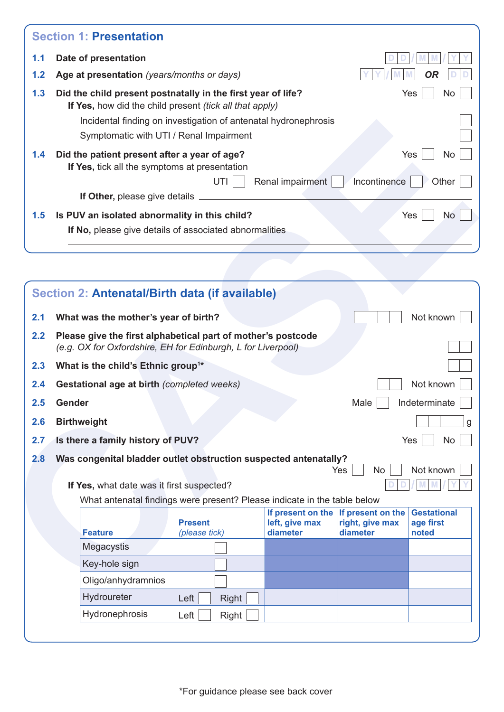| <b>Section 1: Presentation</b>                                                                                                              |
|---------------------------------------------------------------------------------------------------------------------------------------------|
| Date of presentation                                                                                                                        |
| Age at presentation (years/months or days)<br>OR                                                                                            |
| Did the child present postnatally in the first year of life?<br>Yes<br>No<br>If Yes, how did the child present <i>(tick all that apply)</i> |
| Incidental finding on investigation of antenatal hydronephrosis                                                                             |
| Symptomatic with UTI / Renal Impairment                                                                                                     |
| Did the patient present after a year of age?<br>Yes<br>No.<br>If Yes, tick all the symptoms at presentation                                 |
| UTI<br>Renal impairment<br>Incontinence<br>Other                                                                                            |
| If Other, please give details                                                                                                               |
| Is PUV an isolated abnormality in this child?<br>Yes<br>No.                                                                                 |
| If No, please give details of associated abnormalities                                                                                      |
|                                                                                                                                             |

|     |                                                |                               | Incidental finding on investigation of antenatal hydronephrosis<br>Symptomatic with UTI / Renal Impairment                   |                                                 |                                                  |                                          |
|-----|------------------------------------------------|-------------------------------|------------------------------------------------------------------------------------------------------------------------------|-------------------------------------------------|--------------------------------------------------|------------------------------------------|
| 1.4 |                                                |                               | Did the patient present after a year of age?<br>If Yes, tick all the symptoms at presentation<br>UTI                         |                                                 | Incontinence                                     | Yes<br>No<br>Other                       |
|     |                                                | If Other, please give details |                                                                                                                              | Renal impairment                                |                                                  |                                          |
| 1.5 |                                                |                               | Is PUV an isolated abnormality in this child?                                                                                |                                                 |                                                  | Yes<br><b>No</b>                         |
|     |                                                |                               | If No, please give details of associated abnormalities                                                                       |                                                 |                                                  |                                          |
|     |                                                |                               |                                                                                                                              |                                                 |                                                  |                                          |
|     |                                                |                               |                                                                                                                              |                                                 |                                                  |                                          |
|     |                                                |                               | Section 2: Antenatal/Birth data (if available)                                                                               |                                                 |                                                  |                                          |
| 2.1 | What was the mother's year of birth?           |                               |                                                                                                                              |                                                 |                                                  | Not known                                |
| 2.2 |                                                |                               | Please give the first alphabetical part of mother's postcode<br>(e.g. OX for Oxfordshire, EH for Edinburgh, L for Liverpool) |                                                 |                                                  |                                          |
| 2.3 | What is the child's Ethnic group <sup>1*</sup> |                               |                                                                                                                              |                                                 |                                                  |                                          |
| 2.4 |                                                |                               | Gestational age at birth (completed weeks)                                                                                   |                                                 |                                                  | Not known                                |
| 2.5 | <b>Gender</b>                                  |                               |                                                                                                                              |                                                 | Male                                             | Indeterminate                            |
| 2.6 | <b>Birthweight</b>                             |                               |                                                                                                                              |                                                 |                                                  |                                          |
| 2.7 | Is there a family history of PUV?              |                               |                                                                                                                              |                                                 |                                                  | Yes<br><b>No</b>                         |
| 2.8 |                                                |                               | Was congenital bladder outlet obstruction suspected antenatally?                                                             |                                                 | Yes<br><b>No</b>                                 | Not known                                |
|     |                                                |                               | If Yes, what date was it first suspected?                                                                                    |                                                 |                                                  |                                          |
|     |                                                |                               | What antenatal findings were present? Please indicate in the table below                                                     |                                                 |                                                  |                                          |
|     | <b>Feature</b>                                 |                               | <b>Present</b><br>(please tick)                                                                                              | If present on the<br>left, give max<br>diameter | If present on the<br>right, give max<br>diameter | <b>Gestational</b><br>age first<br>noted |
|     | Megacystis                                     |                               |                                                                                                                              |                                                 |                                                  |                                          |
|     | Key-hole sign                                  |                               |                                                                                                                              |                                                 |                                                  |                                          |
|     |                                                | Oligo/anhydramnios            |                                                                                                                              |                                                 |                                                  |                                          |
|     | Hydroureter                                    |                               | Left<br>Right                                                                                                                |                                                 |                                                  |                                          |
|     | Hydronephrosis                                 |                               | Left<br>Right                                                                                                                |                                                 |                                                  |                                          |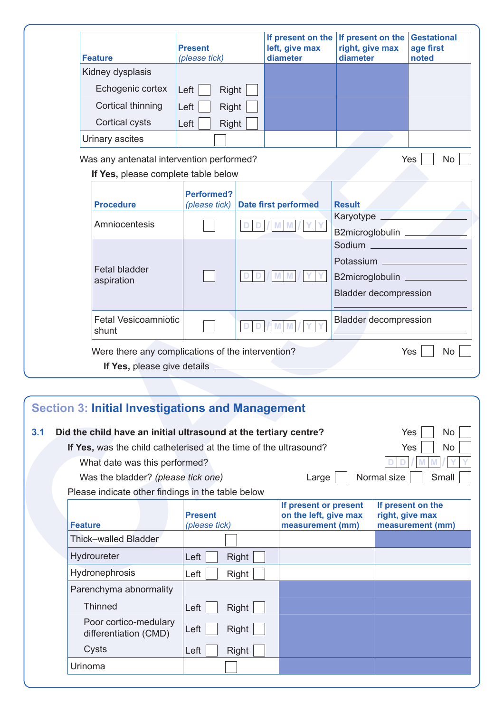|                | <b>Feature</b>                                                                                                                                                                                                                       | <b>Present</b><br>(please tick)    |       | If present on the<br>left, give max<br>diameter                    | If present on the<br>right, give max<br>diameter |     | <b>Gestational</b><br>age first<br>noted |
|----------------|--------------------------------------------------------------------------------------------------------------------------------------------------------------------------------------------------------------------------------------|------------------------------------|-------|--------------------------------------------------------------------|--------------------------------------------------|-----|------------------------------------------|
|                | Kidney dysplasis                                                                                                                                                                                                                     |                                    |       |                                                                    |                                                  |     |                                          |
|                | Echogenic cortex                                                                                                                                                                                                                     | Left<br>Right                      |       |                                                                    |                                                  |     |                                          |
|                | Cortical thinning                                                                                                                                                                                                                    | Left<br>Right                      |       |                                                                    |                                                  |     |                                          |
|                | Cortical cysts                                                                                                                                                                                                                       | Right<br>Left                      |       |                                                                    |                                                  |     |                                          |
|                | Urinary ascites                                                                                                                                                                                                                      |                                    |       |                                                                    |                                                  |     |                                          |
|                | Was any antenatal intervention performed?                                                                                                                                                                                            |                                    |       |                                                                    |                                                  |     | Yes<br><b>No</b>                         |
|                | If Yes, please complete table below                                                                                                                                                                                                  |                                    |       |                                                                    |                                                  |     |                                          |
|                | <b>Procedure</b>                                                                                                                                                                                                                     | <b>Performed?</b><br>(please tick) |       | <b>Date first performed</b>                                        | <b>Result</b>                                    |     |                                          |
|                | Amniocentesis                                                                                                                                                                                                                        |                                    |       |                                                                    |                                                  |     |                                          |
|                |                                                                                                                                                                                                                                      |                                    |       |                                                                    | B2microglobulin                                  |     |                                          |
|                |                                                                                                                                                                                                                                      |                                    |       |                                                                    | Sodium ________________                          |     |                                          |
|                | <b>Fetal bladder</b>                                                                                                                                                                                                                 |                                    |       |                                                                    |                                                  |     |                                          |
|                | aspiration                                                                                                                                                                                                                           |                                    |       |                                                                    | B2microglobulin                                  |     |                                          |
|                |                                                                                                                                                                                                                                      |                                    |       |                                                                    | <b>Bladder decompression</b>                     |     |                                          |
|                | <b>Fetal Vesicoamniotic</b><br>shunt                                                                                                                                                                                                 |                                    |       |                                                                    | <b>Bladder decompression</b>                     |     |                                          |
|                | Were there any complications of the intervention?                                                                                                                                                                                    |                                    |       |                                                                    |                                                  |     | Yes<br><b>No</b>                         |
|                | If Yes, please give details <u>expression and the set of the set of the set of the set of the set of the set of the set of the set of the set of the set of the set of the set of the set of the set of the set of the set of th</u> |                                    |       |                                                                    |                                                  |     |                                          |
|                |                                                                                                                                                                                                                                      |                                    |       |                                                                    |                                                  |     |                                          |
|                | <b>Section 3: Initial Investigations and Management</b>                                                                                                                                                                              |                                    |       |                                                                    |                                                  |     |                                          |
|                | Did the child have an initial ultrasound at the tertiary centre?                                                                                                                                                                     |                                    |       |                                                                    |                                                  | Yes |                                          |
|                | If Yes, was the child catheterised at the time of the ultrasound?                                                                                                                                                                    |                                    |       |                                                                    |                                                  | Yes |                                          |
|                | What date was this performed?                                                                                                                                                                                                        |                                    |       |                                                                    |                                                  |     |                                          |
| 3.1            | Was the bladder? (please tick one)                                                                                                                                                                                                   |                                    |       | Large                                                              | Normal size                                      |     |                                          |
|                | Please indicate other findings in the table below                                                                                                                                                                                    |                                    |       |                                                                    |                                                  |     |                                          |
| <b>Feature</b> |                                                                                                                                                                                                                                      | <b>Present</b><br>(please tick)    |       | If present or present<br>on the left, give max<br>measurement (mm) |                                                  |     | If present on the<br>right, give max     |
|                | Thick-walled Bladder                                                                                                                                                                                                                 |                                    |       |                                                                    |                                                  |     |                                          |
|                | Hydroureter                                                                                                                                                                                                                          | Left                               | Right |                                                                    |                                                  |     |                                          |
|                | Hydronephrosis                                                                                                                                                                                                                       | Left                               | Right |                                                                    |                                                  |     | No<br>No<br>Small<br>measurement (mm)    |

|  | If Yes, please give details |  |
|--|-----------------------------|--|
|  |                             |  |

|     | <b>Section 3: Initial Investigations and Management</b>             |                      |                                                |                                      |
|-----|---------------------------------------------------------------------|----------------------|------------------------------------------------|--------------------------------------|
| 3.1 | Did the child have an initial ultrasound at the tertiary centre?    |                      |                                                | <b>Yes</b><br><b>No</b>              |
|     | If Yes, was the child catheterised at the time of the ultrasound?   |                      |                                                | Yes<br>No.                           |
|     | What date was this performed?                                       |                      |                                                |                                      |
|     | Normal size<br>Small<br>Was the bladder? (please tick one)<br>Large |                      |                                                |                                      |
|     | Please indicate other findings in the table below                   |                      |                                                |                                      |
|     |                                                                     | <b>Present</b>       | If present or present<br>on the left, give max | If present on the<br>right, give max |
|     | Feature                                                             | (please tick)        | measurement (mm)                               | measurement (mm)                     |
|     | Thick-walled Bladder                                                |                      |                                                |                                      |
|     | Hydroureter                                                         | Left<br><b>Right</b> |                                                |                                      |
|     | Hydronephrosis                                                      | Left<br>Right        |                                                |                                      |
|     | Parenchyma abnormality                                              |                      |                                                |                                      |
|     | <b>Thinned</b>                                                      | Right<br>Left        |                                                |                                      |
|     | Poor cortico-medulary<br>differentiation (CMD)                      | Right<br>Left        |                                                |                                      |
|     | Cysts                                                               | Right<br>Left        |                                                |                                      |
|     | Urinoma                                                             |                      |                                                |                                      |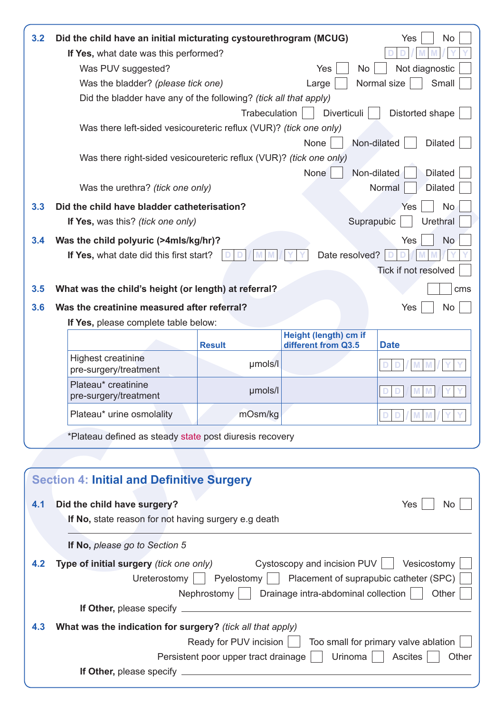| 3.2 | Did the child have an initial micturating cystourethrogram (MCUG)                                                                                           |                                                                |                             | No<br>Yes                            |  |  |  |
|-----|-------------------------------------------------------------------------------------------------------------------------------------------------------------|----------------------------------------------------------------|-----------------------------|--------------------------------------|--|--|--|
|     | If Yes, what date was this performed?                                                                                                                       |                                                                |                             |                                      |  |  |  |
|     | Was PUV suggested?                                                                                                                                          |                                                                | Yes<br>No                   | Not diagnostic                       |  |  |  |
|     | Was the bladder? (please tick one)                                                                                                                          |                                                                | Large                       | Normal size<br>Small                 |  |  |  |
|     | Did the bladder have any of the following? (tick all that apply)                                                                                            |                                                                |                             |                                      |  |  |  |
|     |                                                                                                                                                             | Trabeculation                                                  | Diverticuli                 | Distorted shape                      |  |  |  |
|     | Was there left-sided vesicoureteric reflux (VUR)? (tick one only)                                                                                           |                                                                |                             |                                      |  |  |  |
|     |                                                                                                                                                             |                                                                | None                        | <b>Dilated</b><br>Non-dilated        |  |  |  |
|     | Was there right-sided vesicoureteric reflux (VUR)? (tick one only)                                                                                          |                                                                |                             |                                      |  |  |  |
|     |                                                                                                                                                             |                                                                | None                        | Non-dilated<br><b>Dilated</b>        |  |  |  |
|     | Was the urethra? (tick one only)                                                                                                                            |                                                                |                             | Normal<br><b>Dilated</b>             |  |  |  |
| 3.3 | Did the child have bladder catheterisation?                                                                                                                 |                                                                |                             | <b>No</b><br>Yes                     |  |  |  |
|     | If Yes, was this? (tick one only)                                                                                                                           |                                                                |                             | <b>Urethral</b><br>Suprapubic        |  |  |  |
| 3.4 | Was the child polyuric (>4mls/kg/hr)?                                                                                                                       |                                                                |                             | <b>No</b><br>Yes                     |  |  |  |
|     | If Yes, what date did this first start?                                                                                                                     |                                                                | Date resolved?              |                                      |  |  |  |
|     |                                                                                                                                                             |                                                                |                             | Tick if not resolved                 |  |  |  |
| 3.5 | What was the child's height (or length) at referral?                                                                                                        |                                                                |                             | cms                                  |  |  |  |
|     |                                                                                                                                                             |                                                                |                             |                                      |  |  |  |
| 3.6 | Was the creatinine measured after referral?                                                                                                                 |                                                                |                             | Yes<br>No                            |  |  |  |
|     | If Yes, please complete table below:                                                                                                                        |                                                                | Height (length) cm if       |                                      |  |  |  |
|     |                                                                                                                                                             | <b>Result</b>                                                  | different from Q3.5         | <b>Date</b>                          |  |  |  |
|     | <b>Highest creatinine</b><br>pre-surgery/treatment                                                                                                          | µmols/l                                                        |                             |                                      |  |  |  |
|     | Plateau* creatinine<br>pre-surgery/treatment                                                                                                                | µmols/l                                                        |                             |                                      |  |  |  |
|     | Plateau* urine osmolality                                                                                                                                   | mOsm/kg                                                        |                             |                                      |  |  |  |
|     | *Plateau defined as steady state post diuresis recovery                                                                                                     |                                                                |                             |                                      |  |  |  |
|     |                                                                                                                                                             |                                                                |                             |                                      |  |  |  |
|     |                                                                                                                                                             |                                                                |                             |                                      |  |  |  |
|     | <b>Section 4: Initial and Definitive Surgery</b>                                                                                                            |                                                                |                             |                                      |  |  |  |
|     |                                                                                                                                                             |                                                                |                             |                                      |  |  |  |
| 4.1 | Did the child have surgery?                                                                                                                                 |                                                                |                             | Yes<br>No.                           |  |  |  |
|     | If No, state reason for not having surgery e.g death                                                                                                        |                                                                |                             |                                      |  |  |  |
|     | If No, please go to Section 5                                                                                                                               |                                                                |                             |                                      |  |  |  |
| 4.2 | Type of initial surgery (tick one only)                                                                                                                     |                                                                | Cystoscopy and incision PUV | Vesicostomy                          |  |  |  |
|     |                                                                                                                                                             |                                                                |                             |                                      |  |  |  |
|     | $\vert$ Pyelostomy $\vert$ $\vert$ Placement of suprapubic catheter (SPC)<br>Ureterostomy  <br>Nephrostomy     Drainage intra-abdominal collection<br>Other |                                                                |                             |                                      |  |  |  |
|     |                                                                                                                                                             |                                                                |                             |                                      |  |  |  |
|     |                                                                                                                                                             |                                                                |                             |                                      |  |  |  |
| 4.3 | What was the indication for surgery? (tick all that apply)                                                                                                  |                                                                |                             | Too small for primary valve ablation |  |  |  |
|     |                                                                                                                                                             | Ready for PUV incision<br>Persistent poor upper tract drainage | Urinoma                     | <b>Ascites</b><br>Other              |  |  |  |
|     |                                                                                                                                                             |                                                                |                             |                                      |  |  |  |
|     |                                                                                                                                                             |                                                                |                             |                                      |  |  |  |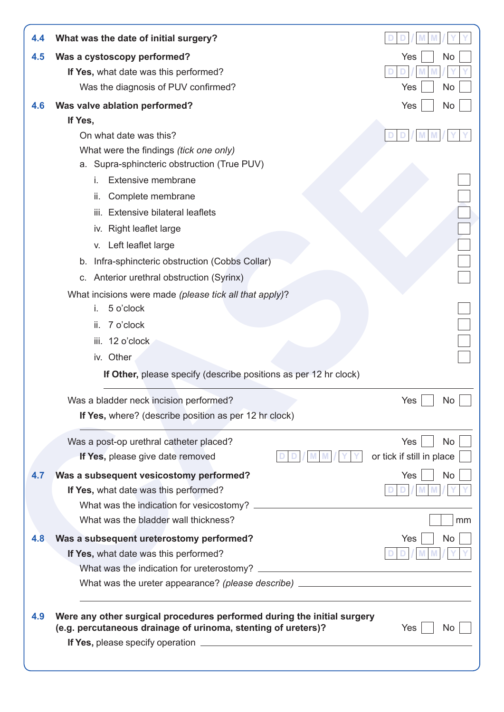|     | What was the date of initial surgery?                                                                                                    |                           |
|-----|------------------------------------------------------------------------------------------------------------------------------------------|---------------------------|
| 4.5 | Was a cystoscopy performed?                                                                                                              | Yes<br>No                 |
|     | If Yes, what date was this performed?                                                                                                    |                           |
|     | Was the diagnosis of PUV confirmed?                                                                                                      | Yes<br>No                 |
| 4.6 | Was valve ablation performed?                                                                                                            | Yes<br>No                 |
|     | If Yes,                                                                                                                                  |                           |
|     | On what date was this?                                                                                                                   |                           |
|     | What were the findings (tick one only)                                                                                                   |                           |
|     | a. Supra-sphincteric obstruction (True PUV)                                                                                              |                           |
|     | <b>Extensive membrane</b><br>i.                                                                                                          |                           |
|     | Complete membrane<br>ii.                                                                                                                 |                           |
|     | iii. Extensive bilateral leaflets                                                                                                        |                           |
|     | iv. Right leaflet large                                                                                                                  |                           |
|     | v. Left leaflet large                                                                                                                    |                           |
|     | b. Infra-sphincteric obstruction (Cobbs Collar)                                                                                          |                           |
|     | c. Anterior urethral obstruction (Syrinx)                                                                                                |                           |
|     | What incisions were made (please tick all that apply)?                                                                                   |                           |
|     | 5 o'clock<br>i.                                                                                                                          |                           |
|     | 7 o'clock<br>ii.                                                                                                                         |                           |
|     | iii. 12 o'clock                                                                                                                          |                           |
|     | iv. Other                                                                                                                                |                           |
|     | If Other, please specify (describe positions as per 12 hr clock)                                                                         |                           |
|     |                                                                                                                                          |                           |
|     |                                                                                                                                          | Yes<br>No                 |
|     | Was a bladder neck incision performed?<br>If Yes, where? (describe position as per 12 hr clock)                                          |                           |
|     | Was a post-op urethral catheter placed?                                                                                                  | Yes<br><b>No</b>          |
|     | If Yes, please give date removed                                                                                                         | or tick if still in place |
|     |                                                                                                                                          |                           |
| 4.7 | Was a subsequent vesicostomy performed?                                                                                                  | Yes<br><b>No</b>          |
|     | If Yes, what date was this performed?<br>What was the indication for vesicostomy?                                                        |                           |
|     | What was the bladder wall thickness?                                                                                                     | mm                        |
|     |                                                                                                                                          | <b>No</b>                 |
| 4.8 | Was a subsequent ureterostomy performed?                                                                                                 | Yes                       |
|     | If Yes, what date was this performed?                                                                                                    |                           |
|     | What was the ureter appearance? (please describe) ______________________________                                                         |                           |
|     |                                                                                                                                          |                           |
| 4.9 | Were any other surgical procedures performed during the initial surgery<br>(e.g. percutaneous drainage of urinoma, stenting of ureters)? | Yes<br>No.                |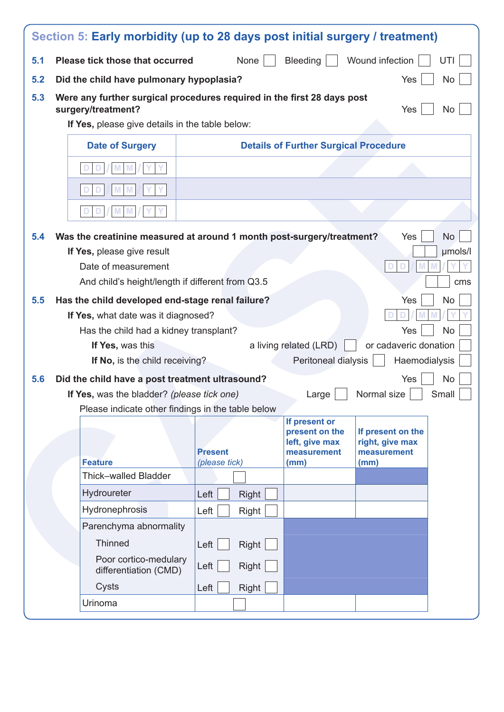| 5.1 | Please tick those that occurred                                                               | None                                                  | Bleeding                                     | Wound infection<br>UTI               |  |  |  |
|-----|-----------------------------------------------------------------------------------------------|-------------------------------------------------------|----------------------------------------------|--------------------------------------|--|--|--|
| 5.2 |                                                                                               | Did the child have pulmonary hypoplasia?<br>No<br>Yes |                                              |                                      |  |  |  |
| 5.3 | Were any further surgical procedures required in the first 28 days post<br>surgery/treatment? |                                                       |                                              | Yes<br><b>No</b>                     |  |  |  |
|     | If Yes, please give details in the table below:                                               |                                                       |                                              |                                      |  |  |  |
|     | <b>Date of Surgery</b>                                                                        |                                                       | <b>Details of Further Surgical Procedure</b> |                                      |  |  |  |
|     |                                                                                               |                                                       |                                              |                                      |  |  |  |
|     |                                                                                               |                                                       |                                              |                                      |  |  |  |
|     |                                                                                               |                                                       |                                              |                                      |  |  |  |
| 5.4 | Was the creatinine measured at around 1 month post-surgery/treatment?                         |                                                       |                                              | <b>No</b><br>Yes                     |  |  |  |
|     | If Yes, please give result                                                                    |                                                       |                                              | µmols/l                              |  |  |  |
|     | Date of measurement                                                                           |                                                       |                                              |                                      |  |  |  |
|     | And child's height/length if different from Q3.5                                              |                                                       |                                              |                                      |  |  |  |
| 5.5 | Has the child developed end-stage renal failure?                                              |                                                       |                                              | <b>No</b><br>Yes                     |  |  |  |
|     | If Yes, what date was it diagnosed?                                                           |                                                       |                                              |                                      |  |  |  |
|     | <b>No</b><br>Has the child had a kidney transplant?<br>Yes                                    |                                                       |                                              |                                      |  |  |  |
|     |                                                                                               |                                                       |                                              |                                      |  |  |  |
|     | If Yes, was this                                                                              |                                                       | a living related (LRD)                       | or cadaveric donation                |  |  |  |
|     | If No, is the child receiving?                                                                |                                                       | Peritoneal dialysis                          | Haemodialysis                        |  |  |  |
| 5.6 | Did the child have a post treatment ultrasound?                                               |                                                       |                                              | <b>No</b><br>Yes                     |  |  |  |
|     | If Yes, was the bladder? (please tick one)                                                    |                                                       | Large                                        | Small<br>Normal size                 |  |  |  |
|     | Please indicate other findings in the table below                                             |                                                       |                                              |                                      |  |  |  |
|     |                                                                                               |                                                       | If present or                                |                                      |  |  |  |
|     |                                                                                               |                                                       | present on the<br>left, give max             | If present on the<br>right, give max |  |  |  |
|     |                                                                                               | <b>Present</b>                                        | measurement                                  | measurement                          |  |  |  |
|     | <b>Feature</b><br>Thick-walled Bladder                                                        | (please tick)                                         | (mm)                                         | (mm)                                 |  |  |  |
|     | Hydroureter                                                                                   | Left<br>Right                                         |                                              |                                      |  |  |  |
|     | Hydronephrosis                                                                                | Left<br>Right                                         |                                              |                                      |  |  |  |
|     | Parenchyma abnormality                                                                        |                                                       |                                              |                                      |  |  |  |
|     | Thinned                                                                                       | Left                                                  |                                              |                                      |  |  |  |
|     | Poor cortico-medulary<br>differentiation (CMD)                                                | Right<br>Right<br>Left                                |                                              |                                      |  |  |  |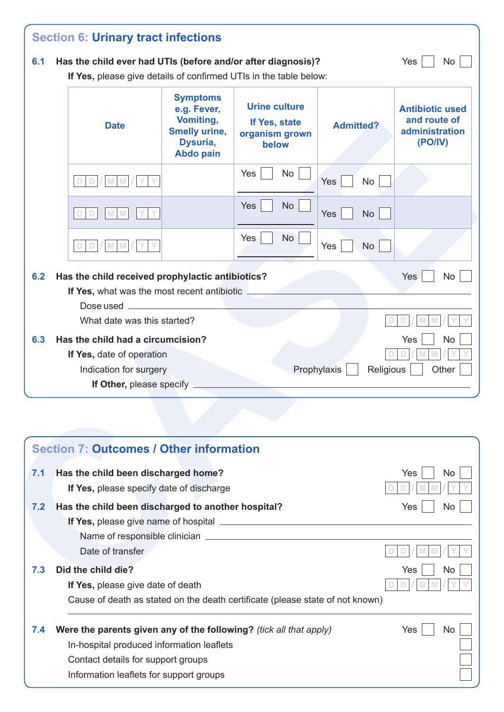| 6.1 | Has the child ever had UTIs (before and/or after diagnosis)?<br>If Yes, please give details of confirmed UTIs in the table below: |                                                                                                     |                                                                  |                          | Yes<br>No                                                           |
|-----|-----------------------------------------------------------------------------------------------------------------------------------|-----------------------------------------------------------------------------------------------------|------------------------------------------------------------------|--------------------------|---------------------------------------------------------------------|
|     | <b>Date</b>                                                                                                                       | <b>Symptoms</b><br>e.g. Fever,<br>Vomiting,<br><b>Smelly urine,</b><br>Dysuria,<br><b>Abdo pain</b> | <b>Urine culture</b><br>If Yes, state<br>organism grown<br>below | <b>Admitted?</b>         | <b>Antibiotic used</b><br>and route of<br>administration<br>(PO/IV) |
|     |                                                                                                                                   |                                                                                                     | Yes<br>No                                                        | Yes<br><b>No</b>         |                                                                     |
|     | D<br>M<br>M                                                                                                                       |                                                                                                     | Yes<br><b>No</b>                                                 | Yes<br><b>No</b>         |                                                                     |
|     |                                                                                                                                   |                                                                                                     | <b>No</b><br>Yes                                                 | Yes<br><b>No</b>         |                                                                     |
| 6.3 | Has the child had a circumcision?<br>If Yes, date of operation<br>Indication for surgery<br>If Other, please specify              |                                                                                                     |                                                                  | Prophylaxis<br>Religious | Yes<br><b>No</b><br>Other                                           |
|     |                                                                                                                                   |                                                                                                     |                                                                  |                          |                                                                     |
|     |                                                                                                                                   |                                                                                                     |                                                                  |                          |                                                                     |
|     | <b>Section 7: Outcomes / Other information</b>                                                                                    |                                                                                                     |                                                                  |                          |                                                                     |
| 7.1 | Has the child been discharged home?                                                                                               |                                                                                                     |                                                                  |                          | Yes<br>No                                                           |
| 7.2 | If Yes, please specify date of discharge<br>Has the child been discharged to another hospital?                                    |                                                                                                     |                                                                  |                          | Yes                                                                 |
|     | Date of transfer                                                                                                                  |                                                                                                     |                                                                  |                          | No.                                                                 |
| 7.3 | Did the child die?                                                                                                                |                                                                                                     |                                                                  |                          | Yes<br>No                                                           |

|     | <b>Section 7: Outcomes / Other information</b>                                |            |
|-----|-------------------------------------------------------------------------------|------------|
| 7.1 | Has the child been discharged home?                                           | Yes<br>No. |
|     | If Yes, please specify date of discharge                                      |            |
| 7.2 | Has the child been discharged to another hospital?                            | Yes<br>No. |
|     | If Yes, please give name of hospital ________                                 |            |
|     |                                                                               |            |
|     | Date of transfer                                                              |            |
| 7.3 | Did the child die?                                                            | Yes<br>No. |
|     | If Yes, please give date of death                                             |            |
|     | Cause of death as stated on the death certificate (please state of not known) |            |
| 7.4 | Were the parents given any of the following? (tick all that apply)            | Yes<br>No. |
|     | In-hospital produced information leaflets                                     |            |
|     | Contact details for support groups                                            |            |
|     | Information leaflets for support groups                                       |            |